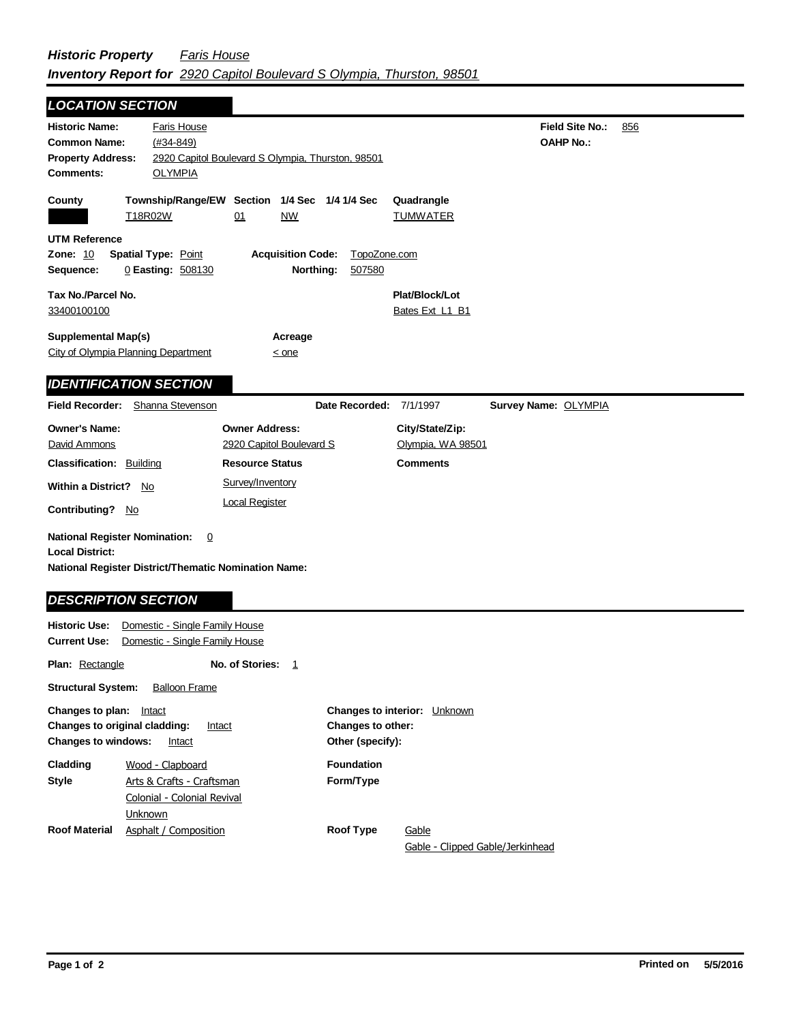| <b>LOCATION SECTION</b>                                                                                                                                     |                                                                  |                                                                  |                                       |                                      |                                     |     |
|-------------------------------------------------------------------------------------------------------------------------------------------------------------|------------------------------------------------------------------|------------------------------------------------------------------|---------------------------------------|--------------------------------------|-------------------------------------|-----|
| <b>Historic Name:</b><br><b>Common Name:</b><br><b>Property Address:</b><br><b>Comments:</b>                                                                | <b>Faris House</b><br>$(#34 - 849)$<br><b>OLYMPIA</b>            | 2920 Capitol Boulevard S Olympia, Thurston, 98501                |                                       |                                      | Field Site No.:<br><b>OAHP No.:</b> | 856 |
| County                                                                                                                                                      | T18R02W                                                          | Township/Range/EW Section 1/4 Sec 1/4 1/4 Sec<br><b>NW</b><br>01 |                                       | Quadrangle<br><b>TUMWATER</b>        |                                     |     |
| <b>UTM Reference</b><br>Zone: 10<br>Sequence:                                                                                                               | <b>Spatial Type: Point</b><br>0 Easting: 508130                  | <b>Acquisition Code:</b><br>Northing:                            | TopoZone.com<br>507580                |                                      |                                     |     |
| Tax No./Parcel No.<br>33400100100                                                                                                                           |                                                                  |                                                                  |                                       | Plat/Block/Lot<br>Bates Ext L1 B1    |                                     |     |
| <b>Supplemental Map(s)</b><br>City of Olympia Planning Department                                                                                           |                                                                  | Acreage<br>$\leq$ one                                            |                                       |                                      |                                     |     |
| <b>IDENTIFICATION SECTION</b>                                                                                                                               |                                                                  |                                                                  |                                       |                                      |                                     |     |
| Field Recorder:                                                                                                                                             | Shanna Stevenson                                                 |                                                                  | Date Recorded:                        | 7/1/1997                             | Survey Name: OLYMPIA                |     |
| <b>Owner's Name:</b><br>David Ammons                                                                                                                        |                                                                  | <b>Owner Address:</b><br>2920 Capitol Boulevard S                |                                       | City/State/Zip:<br>Olympia, WA 98501 |                                     |     |
| <b>Classification: Building</b>                                                                                                                             |                                                                  | <b>Resource Status</b>                                           |                                       | <b>Comments</b>                      |                                     |     |
| <b>Within a District?</b><br>No                                                                                                                             |                                                                  | Survey/Inventory                                                 |                                       |                                      |                                     |     |
| Contributing? No                                                                                                                                            |                                                                  | <b>Local Register</b>                                            |                                       |                                      |                                     |     |
| <b>National Register Nomination:</b><br><b>Local District:</b><br><b>National Register District/Thematic Nomination Name:</b><br><b>DESCRIPTION SECTION</b> | $\Omega$                                                         |                                                                  |                                       |                                      |                                     |     |
| <b>Historic Use:</b><br><b>Current Use:</b>                                                                                                                 | Domestic - Single Family House<br>Domestic - Single Family House |                                                                  |                                       |                                      |                                     |     |
| Plan: Rectangle                                                                                                                                             |                                                                  | No. of Stories:<br>1                                             |                                       |                                      |                                     |     |
| <b>Structural System:</b>                                                                                                                                   | <b>Balloon Frame</b>                                             |                                                                  |                                       |                                      |                                     |     |
| <b>Changes to plan:</b> Intact<br>Changes to original cladding:<br><b>Changes to windows:</b>                                                               | Intact<br>Intact                                                 |                                                                  | Changes to other:<br>Other (specify): | Changes to interior: Unknown         |                                     |     |
| Cladding<br><b>Style</b>                                                                                                                                    | Wood - Clapboard<br>Arts & Crafts - Craftsman                    |                                                                  | <b>Foundation</b><br>Form/Type        |                                      |                                     |     |

**Roof Type Gable** 

Gable - Clipped Gable/Jerkinhead

**Roof Material** Asphalt / Composition

Unknown

Colonial - Colonial Revival